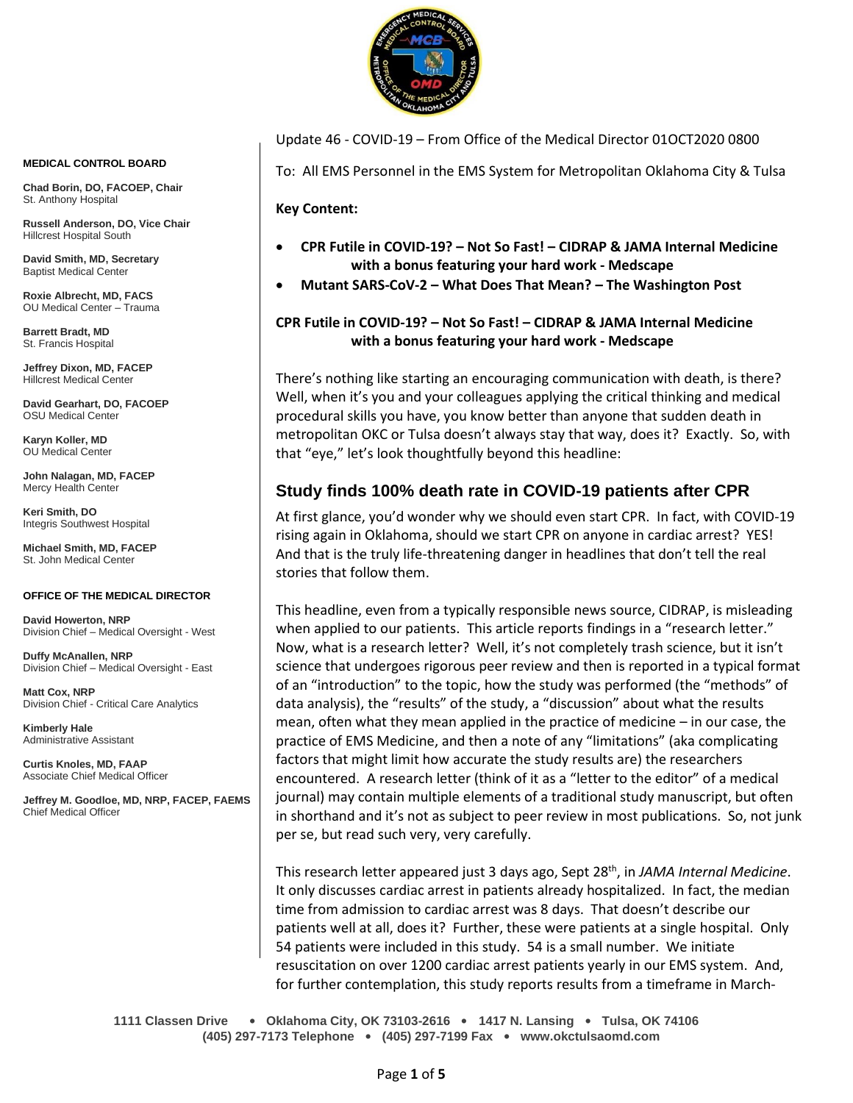

Update 46 - COVID-19 – From Office of the Medical Director 01OCT2020 0800

To: All EMS Personnel in the EMS System for Metropolitan Oklahoma City & Tulsa

**Key Content:**

- **CPR Futile in COVID-19? – Not So Fast! – CIDRAP & JAMA Internal Medicine with a bonus featuring your hard work - Medscape**
- **Mutant SARS-CoV-2 – What Does That Mean? – The Washington Post**

## **CPR Futile in COVID-19? – Not So Fast! – CIDRAP & JAMA Internal Medicine with a bonus featuring your hard work - Medscape**

There's nothing like starting an encouraging communication with death, is there? Well, when it's you and your colleagues applying the critical thinking and medical procedural skills you have, you know better than anyone that sudden death in metropolitan OKC or Tulsa doesn't always stay that way, does it? Exactly. So, with that "eye," let's look thoughtfully beyond this headline:

# **Study finds 100% death rate in COVID-19 patients after CPR**

At first glance, you'd wonder why we should even start CPR. In fact, with COVID-19 rising again in Oklahoma, should we start CPR on anyone in cardiac arrest? YES! And that is the truly life-threatening danger in headlines that don't tell the real stories that follow them.

This headline, even from a typically responsible news source, CIDRAP, is misleading when applied to our patients. This article reports findings in a "research letter." Now, what is a research letter? Well, it's not completely trash science, but it isn't science that undergoes rigorous peer review and then is reported in a typical format of an "introduction" to the topic, how the study was performed (the "methods" of data analysis), the "results" of the study, a "discussion" about what the results mean, often what they mean applied in the practice of medicine – in our case, the practice of EMS Medicine, and then a note of any "limitations" (aka complicating factors that might limit how accurate the study results are) the researchers encountered. A research letter (think of it as a "letter to the editor" of a medical journal) may contain multiple elements of a traditional study manuscript, but often in shorthand and it's not as subject to peer review in most publications. So, not junk per se, but read such very, very carefully.

This research letter appeared just 3 days ago, Sept 28 th, in *JAMA Internal Medicine*. It only discusses cardiac arrest in patients already hospitalized. In fact, the median time from admission to cardiac arrest was 8 days. That doesn't describe our patients well at all, does it? Further, these were patients at a single hospital. Only 54 patients were included in this study. 54 is a small number. We initiate resuscitation on over 1200 cardiac arrest patients yearly in our EMS system. And, for further contemplation, this study reports results from a timeframe in March-

**1111 Classen Drive** • **Oklahoma City, OK 73103-2616** • **1417 N. Lansing** • **Tulsa, OK 74106 (405) 297-7173 Telephone** • **(405) 297-7199 Fax** • **www.okctulsaomd.com**

#### **MEDICAL CONTROL BOARD**

**Chad Borin, DO, FACOEP, Chair**  St. Anthony Hospital

**Russell Anderson, DO, Vice Chair** Hillcrest Hospital South

**David Smith, MD, Secretary** Baptist Medical Center

**Roxie Albrecht, MD, FACS** OU Medical Center – Trauma

**Barrett Bradt, MD** St. Francis Hospital

**Jeffrey Dixon, MD, FACEP** Hillcrest Medical Center

**David Gearhart, DO, FACOEP** OSU Medical Center

**Karyn Koller, MD** OU Medical Center

**John Nalagan, MD, FACEP** Mercy Health Center

**Keri Smith, DO** Integris Southwest Hospital

**Michael Smith, MD, FACEP** St. John Medical Center

### **OFFICE OF THE MEDICAL DIRECTOR**

**David Howerton, NRP** Division Chief – Medical Oversight - West

**Duffy McAnallen, NRP** Division Chief – Medical Oversight - East

**Matt Cox, NRP** Division Chief - Critical Care Analytics

**Kimberly Hale** Administrative Assistant

**Curtis Knoles, MD, FAAP** Associate Chief Medical Officer

**Jeffrey M. Goodloe, MD, NRP, FACEP, FAEMS** Chief Medical Officer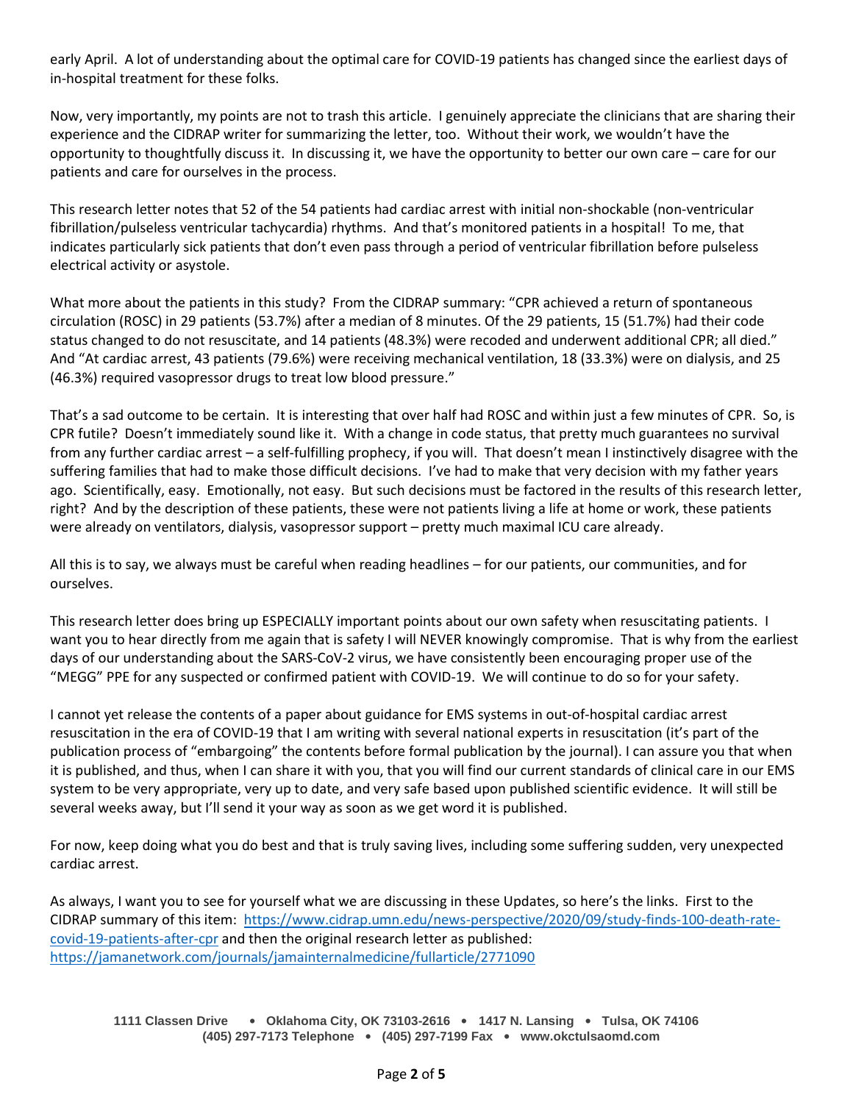early April. A lot of understanding about the optimal care for COVID-19 patients has changed since the earliest days of in-hospital treatment for these folks.

Now, very importantly, my points are not to trash this article. I genuinely appreciate the clinicians that are sharing their experience and the CIDRAP writer for summarizing the letter, too. Without their work, we wouldn't have the opportunity to thoughtfully discuss it. In discussing it, we have the opportunity to better our own care – care for our patients and care for ourselves in the process.

This research letter notes that 52 of the 54 patients had cardiac arrest with initial non-shockable (non-ventricular fibrillation/pulseless ventricular tachycardia) rhythms. And that's monitored patients in a hospital! To me, that indicates particularly sick patients that don't even pass through a period of ventricular fibrillation before pulseless electrical activity or asystole.

What more about the patients in this study? From the CIDRAP summary: "CPR achieved a return of spontaneous circulation (ROSC) in 29 patients (53.7%) after a median of 8 minutes. Of the 29 patients, 15 (51.7%) had their code status changed to do not resuscitate, and 14 patients (48.3%) were recoded and underwent additional CPR; all died." And "At cardiac arrest, 43 patients (79.6%) were receiving mechanical ventilation, 18 (33.3%) were on dialysis, and 25 (46.3%) required vasopressor drugs to treat low blood pressure."

That's a sad outcome to be certain. It is interesting that over half had ROSC and within just a few minutes of CPR. So, is CPR futile? Doesn't immediately sound like it. With a change in code status, that pretty much guarantees no survival from any further cardiac arrest – a self-fulfilling prophecy, if you will. That doesn't mean I instinctively disagree with the suffering families that had to make those difficult decisions. I've had to make that very decision with my father years ago. Scientifically, easy. Emotionally, not easy. But such decisions must be factored in the results of this research letter, right? And by the description of these patients, these were not patients living a life at home or work, these patients were already on ventilators, dialysis, vasopressor support – pretty much maximal ICU care already.

All this is to say, we always must be careful when reading headlines – for our patients, our communities, and for ourselves.

This research letter does bring up ESPECIALLY important points about our own safety when resuscitating patients. I want you to hear directly from me again that is safety I will NEVER knowingly compromise. That is why from the earliest days of our understanding about the SARS-CoV-2 virus, we have consistently been encouraging proper use of the "MEGG" PPE for any suspected or confirmed patient with COVID-19. We will continue to do so for your safety.

I cannot yet release the contents of a paper about guidance for EMS systems in out-of-hospital cardiac arrest resuscitation in the era of COVID-19 that I am writing with several national experts in resuscitation (it's part of the publication process of "embargoing" the contents before formal publication by the journal). I can assure you that when it is published, and thus, when I can share it with you, that you will find our current standards of clinical care in our EMS system to be very appropriate, very up to date, and very safe based upon published scientific evidence. It will still be several weeks away, but I'll send it your way as soon as we get word it is published.

For now, keep doing what you do best and that is truly saving lives, including some suffering sudden, very unexpected cardiac arrest.

As always, I want you to see for yourself what we are discussing in these Updates, so here's the links. First to the CIDRAP summary of this item: [https://www.cidrap.umn.edu/news-perspective/2020/09/study-finds-100-death-rate](https://www.cidrap.umn.edu/news-perspective/2020/09/study-finds-100-death-rate-covid-19-patients-after-cpr)[covid-19-patients-after-cpr](https://www.cidrap.umn.edu/news-perspective/2020/09/study-finds-100-death-rate-covid-19-patients-after-cpr) and then the original research letter as published: <https://jamanetwork.com/journals/jamainternalmedicine/fullarticle/2771090>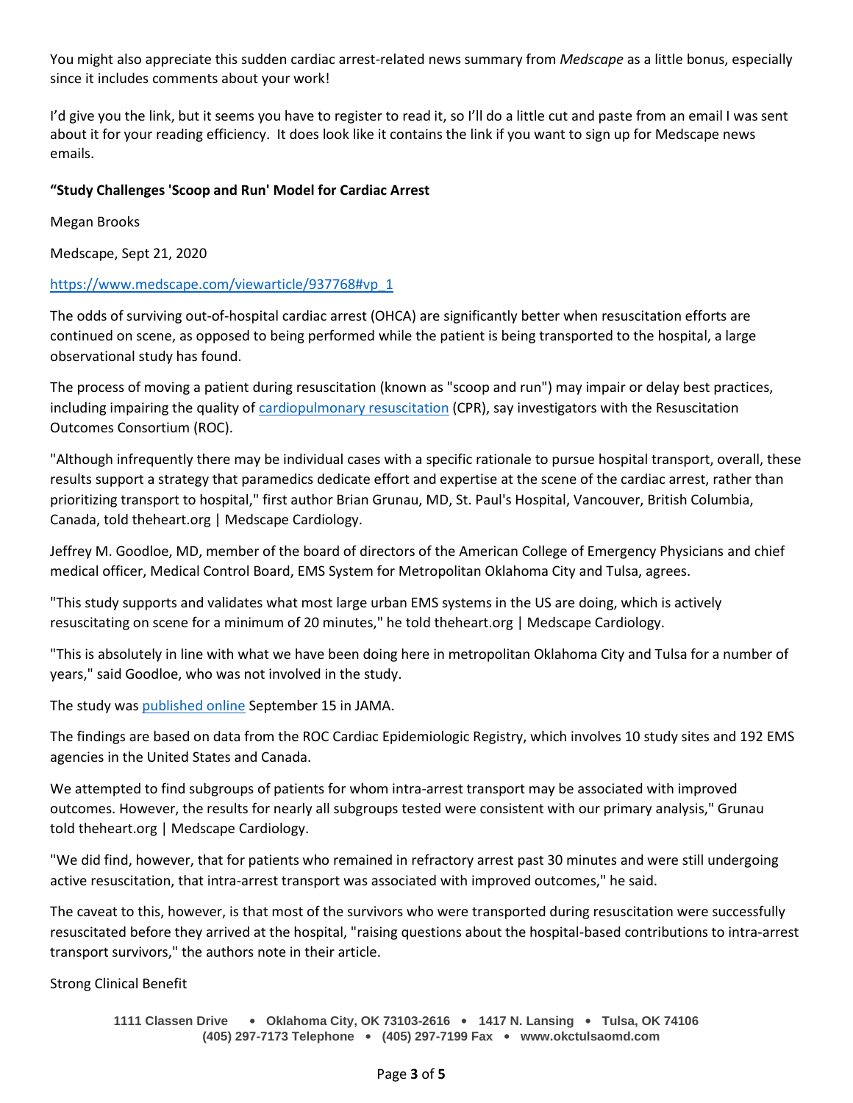You might also appreciate this sudden cardiac arrest-related news summary from *Medscape* as a little bonus, especially since it includes comments about your work!

I'd give you the link, but it seems you have to register to read it, so I'll do a little cut and paste from an email I was sent about it for your reading efficiency. It does look like it contains the link if you want to sign up for Medscape news emails.

### **"Study Challenges 'Scoop and Run' Model for Cardiac Arrest**

Megan Brooks

Medscape, Sept 21, 2020

### [https://www.medscape.com/viewarticle/937768#vp\\_1](https://www.medscape.com/viewarticle/937768#vp_1)

The odds of surviving out-of-hospital cardiac arrest (OHCA) are significantly better when resuscitation efforts are continued on scene, as opposed to being performed while the patient is being transported to the hospital, a large observational study has found.

The process of moving a patient during resuscitation (known as "scoop and run") may impair or delay best practices, including impairing the quality of [cardiopulmonary resuscitation](https://emedicine.medscape.com/article/1344081-overview) (CPR), say investigators with the Resuscitation Outcomes Consortium (ROC).

"Although infrequently there may be individual cases with a specific rationale to pursue hospital transport, overall, these results support a strategy that paramedics dedicate effort and expertise at the scene of the cardiac arrest, rather than prioritizing transport to hospital," first author Brian Grunau, MD, St. Paul's Hospital, Vancouver, British Columbia, Canada, told theheart.org | Medscape Cardiology.

Jeffrey M. Goodloe, MD, member of the board of directors of the American College of Emergency Physicians and chief medical officer, Medical Control Board, EMS System for Metropolitan Oklahoma City and Tulsa, agrees.

"This study supports and validates what most large urban EMS systems in the US are doing, which is actively resuscitating on scene for a minimum of 20 minutes," he told theheart.org | Medscape Cardiology.

"This is absolutely in line with what we have been doing here in metropolitan Oklahoma City and Tulsa for a number of years," said Goodloe, who was not involved in the study.

The study was [published online](https://jamanetwork.com/journals/jama/article-abstract/2770622) September 15 in JAMA.

The findings are based on data from the ROC Cardiac Epidemiologic Registry, which involves 10 study sites and 192 EMS agencies in the United States and Canada.

We attempted to find subgroups of patients for whom intra-arrest transport may be associated with improved outcomes. However, the results for nearly all subgroups tested were consistent with our primary analysis," Grunau told theheart.org | Medscape Cardiology.

"We did find, however, that for patients who remained in refractory arrest past 30 minutes and were still undergoing active resuscitation, that intra-arrest transport was associated with improved outcomes," he said.

The caveat to this, however, is that most of the survivors who were transported during resuscitation were successfully resuscitated before they arrived at the hospital, "raising questions about the hospital-based contributions to intra-arrest transport survivors," the authors note in their article.

Strong Clinical Benefit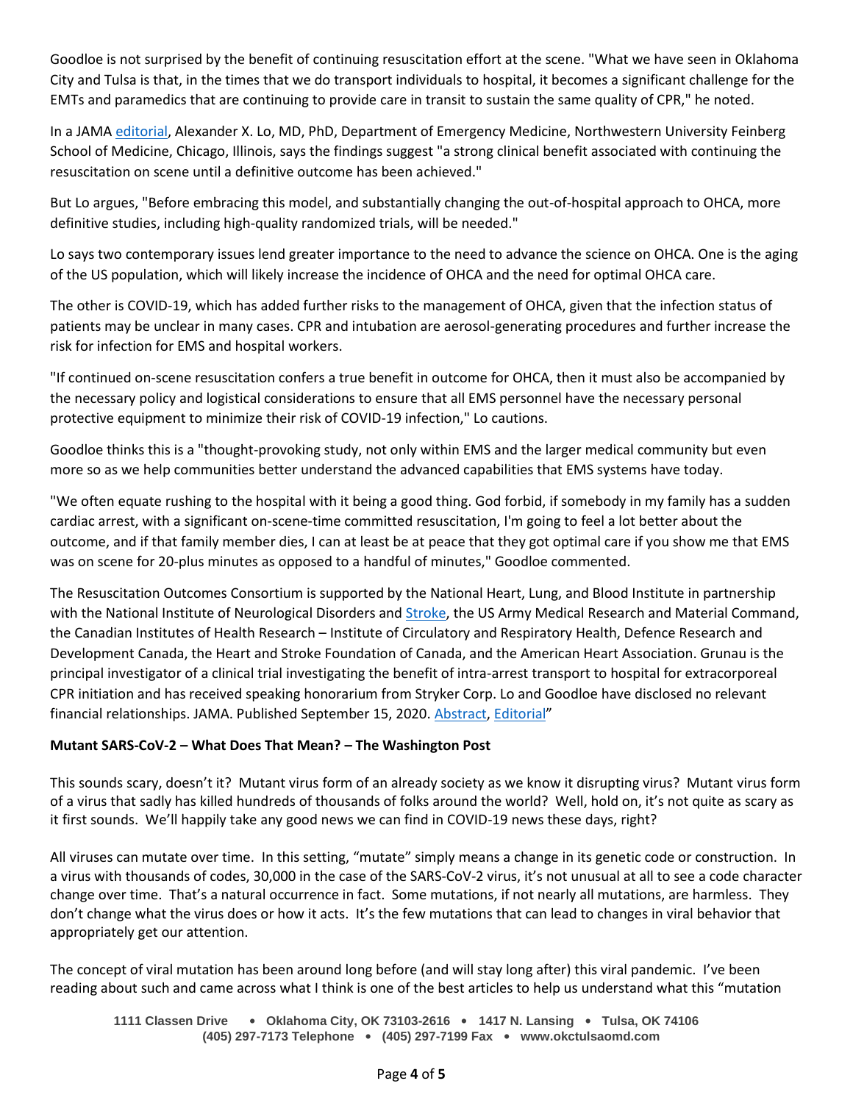Goodloe is not surprised by the benefit of continuing resuscitation effort at the scene. "What we have seen in Oklahoma City and Tulsa is that, in the times that we do transport individuals to hospital, it becomes a significant challenge for the EMTs and paramedics that are continuing to provide care in transit to sustain the same quality of CPR," he noted.

In a JAMA [editorial,](https://jamanetwork.com/journals/jama/article-abstract/2770601) Alexander X. Lo, MD, PhD, Department of Emergency Medicine, Northwestern University Feinberg School of Medicine, Chicago, Illinois, says the findings suggest "a strong clinical benefit associated with continuing the resuscitation on scene until a definitive outcome has been achieved."

But Lo argues, "Before embracing this model, and substantially changing the out-of-hospital approach to OHCA, more definitive studies, including high-quality randomized trials, will be needed."

Lo says two contemporary issues lend greater importance to the need to advance the science on OHCA. One is the aging of the US population, which will likely increase the incidence of OHCA and the need for optimal OHCA care.

The other is COVID-19, which has added further risks to the management of OHCA, given that the infection status of patients may be unclear in many cases. CPR and intubation are aerosol-generating procedures and further increase the risk for infection for EMS and hospital workers.

"If continued on-scene resuscitation confers a true benefit in outcome for OHCA, then it must also be accompanied by the necessary policy and logistical considerations to ensure that all EMS personnel have the necessary personal protective equipment to minimize their risk of COVID-19 infection," Lo cautions.

Goodloe thinks this is a "thought-provoking study, not only within EMS and the larger medical community but even more so as we help communities better understand the advanced capabilities that EMS systems have today.

"We often equate rushing to the hospital with it being a good thing. God forbid, if somebody in my family has a sudden cardiac arrest, with a significant on-scene-time committed resuscitation, I'm going to feel a lot better about the outcome, and if that family member dies, I can at least be at peace that they got optimal care if you show me that EMS was on scene for 20-plus minutes as opposed to a handful of minutes," Goodloe commented.

The Resuscitation Outcomes Consortium is supported by the National Heart, Lung, and Blood Institute in partnership with the National Institute of Neurological Disorders and [Stroke,](https://emedicine.medscape.com/article/1916852-overview) the US Army Medical Research and Material Command, the Canadian Institutes of Health Research – Institute of Circulatory and Respiratory Health, Defence Research and Development Canada, the Heart and Stroke Foundation of Canada, and the American Heart Association. Grunau is the principal investigator of a clinical trial investigating the benefit of intra-arrest transport to hospital for extracorporeal CPR initiation and has received speaking honorarium from Stryker Corp. Lo and Goodloe have disclosed no relevant financial relationships. JAMA. Published September 15, 2020. [Abstract,](https://jamanetwork.com/journals/jama/article-abstract/2770622) [Editorial](https://jamanetwork.com/journals/jama/article-abstract/2770601)"

## **Mutant SARS-CoV-2 – What Does That Mean? – The Washington Post**

This sounds scary, doesn't it? Mutant virus form of an already society as we know it disrupting virus? Mutant virus form of a virus that sadly has killed hundreds of thousands of folks around the world? Well, hold on, it's not quite as scary as it first sounds. We'll happily take any good news we can find in COVID-19 news these days, right?

All viruses can mutate over time. In this setting, "mutate" simply means a change in its genetic code or construction. In a virus with thousands of codes, 30,000 in the case of the SARS-CoV-2 virus, it's not unusual at all to see a code character change over time. That's a natural occurrence in fact. Some mutations, if not nearly all mutations, are harmless. They don't change what the virus does or how it acts. It's the few mutations that can lead to changes in viral behavior that appropriately get our attention.

The concept of viral mutation has been around long before (and will stay long after) this viral pandemic. I've been reading about such and came across what I think is one of the best articles to help us understand what this "mutation